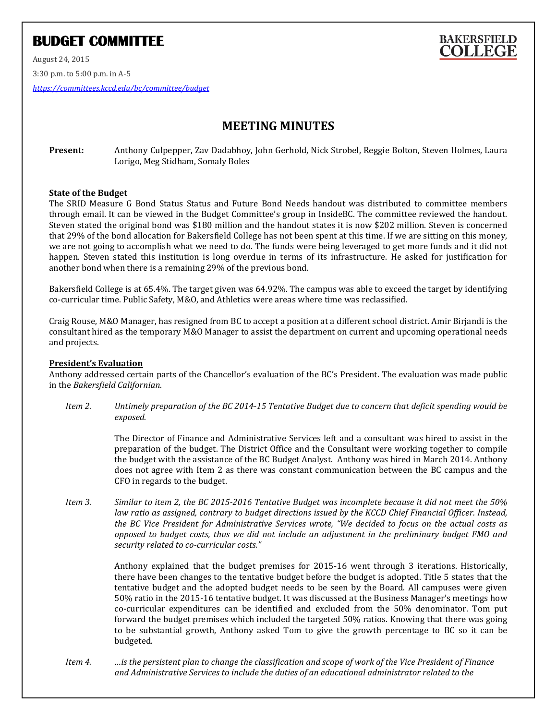# **BUDGET COMMITTEE**

August 24, 2015 3:30 p.m. to 5:00 p.m. in A-5 *<https://committees.kccd.edu/bc/committee/budget>*

# **MEETING MINUTES**

**Present:** Anthony Culpepper, Zav Dadabhoy, John Gerhold, Nick Strobel, Reggie Bolton, Steven Holmes, Laura Lorigo, Meg Stidham, Somaly Boles

## **State of the Budget**

The SRID Measure G Bond Status Status and Future Bond Needs handout was distributed to committee members through email. It can be viewed in the Budget Committee's group in InsideBC. The committee reviewed the handout. Steven stated the original bond was \$180 million and the handout states it is now \$202 million. Steven is concerned that 29% of the bond allocation for Bakersfield College has not been spent at this time. If we are sitting on this money, we are not going to accomplish what we need to do. The funds were being leveraged to get more funds and it did not happen. Steven stated this institution is long overdue in terms of its infrastructure. He asked for justification for another bond when there is a remaining 29% of the previous bond.

Bakersfield College is at 65.4%. The target given was 64.92%. The campus was able to exceed the target by identifying co-curricular time. Public Safety, M&O, and Athletics were areas where time was reclassified.

Craig Rouse, M&O Manager, has resigned from BC to accept a position at a different school district. Amir Birjandi is the consultant hired as the temporary M&O Manager to assist the department on current and upcoming operational needs and projects.

### **President's Evaluation**

Anthony addressed certain parts of the Chancellor's evaluation of the BC's President. The evaluation was made public in the *Bakersfield Californian*.

*Item 2. Untimely preparation of the BC 2014-15 Tentative Budget due to concern that deficit spending would be exposed.*

> The Director of Finance and Administrative Services left and a consultant was hired to assist in the preparation of the budget. The District Office and the Consultant were working together to compile the budget with the assistance of the BC Budget Analyst. Anthony was hired in March 2014. Anthony does not agree with Item 2 as there was constant communication between the BC campus and the CFO in regards to the budget.

*Item 3. Similar to item 2, the BC 2015-2016 Tentative Budget was incomplete because it did not meet the 50% law ratio as assigned, contrary to budget directions issued by the KCCD Chief Financial Officer. Instead, the BC Vice President for Administrative Services wrote, "We decided to focus on the actual costs as opposed to budget costs, thus we did not include an adjustment in the preliminary budget FMO and security related to co-curricular costs."*

> Anthony explained that the budget premises for 2015-16 went through 3 iterations. Historically, there have been changes to the tentative budget before the budget is adopted. Title 5 states that the tentative budget and the adopted budget needs to be seen by the Board. All campuses were given 50% ratio in the 2015-16 tentative budget. It was discussed at the Business Manager's meetings how co-curricular expenditures can be identified and excluded from the 50% denominator. Tom put forward the budget premises which included the targeted 50% ratios. Knowing that there was going to be substantial growth, Anthony asked Tom to give the growth percentage to BC so it can be budgeted.

*Item 4. …is the persistent plan to change the classification and scope of work of the Vice President of Finance and Administrative Services to include the duties of an educational administrator related to the*